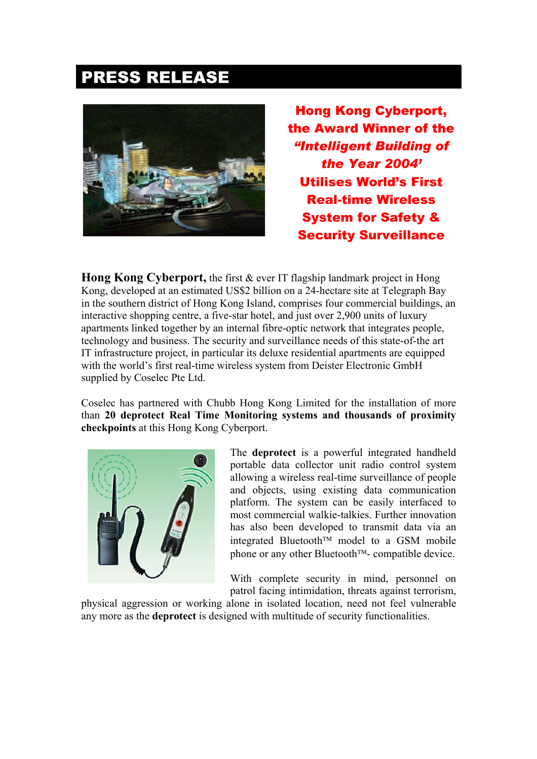## PRESS RELEASE



Hong Kong Cyberport, the Award Winner of the *"Intelligent Building of the Year 2004'* Utilises World's First Real-time Wireless System for Safety & Security Surveillance

**Hong Kong Cyberport,** the first & ever IT flagship landmark project in Hong Kong, developed at an estimated US\$2 billion on a 24-hectare site at Telegraph Bay in the southern district of Hong Kong Island, comprises four commercial buildings, an interactive shopping centre, a five-star hotel, and just over 2,900 units of luxury apartments linked together by an internal fibre-optic network that integrates people, technology and business. The security and surveillance needs of this state-of-the art IT infrastructure project, in particular its deluxe residential apartments are equipped with the world's first real-time wireless system from Deister Electronic GmbH supplied by Coselec Pte Ltd.

Coselec has partnered with Chubb Hong Kong Limited for the installation of more than **20 deprotect Real Time Monitoring systems and thousands of proximity checkpoints** at this Hong Kong Cyberport.



The **deprotect** is a powerful integrated handheld portable data collector unit radio control system allowing a wireless real-time surveillance of people and objects, using existing data communication platform. The system can be easily interfaced to most commercial walkie-talkies. Further innovation has also been developed to transmit data via an integrated Bluetooth<sup> $TM$ </sup> model to a GSM mobile phone or any other Bluetooth $TM$ - compatible device.

With complete security in mind, personnel on patrol facing intimidation, threats against terrorism,

physical aggression or working alone in isolated location, need not feel vulnerable any more as the **deprotect** is designed with multitude of security functionalities.